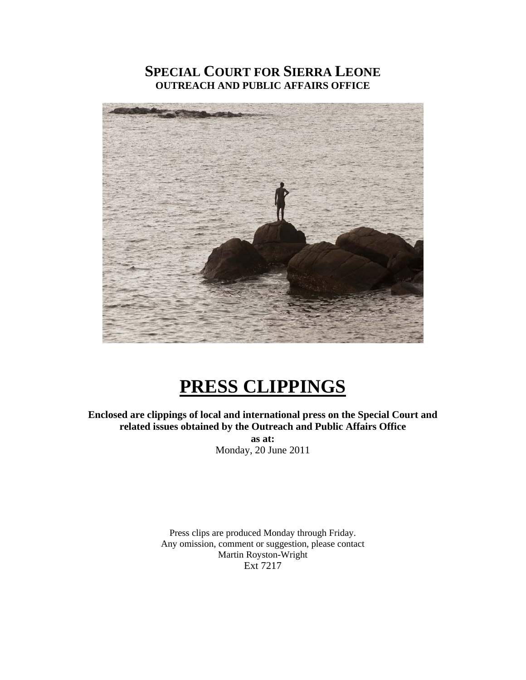### **SPECIAL COURT FOR SIERRA LEONE OUTREACH AND PUBLIC AFFAIRS OFFICE**



# **PRESS CLIPPINGS**

**Enclosed are clippings of local and international press on the Special Court and related issues obtained by the Outreach and Public Affairs Office** 

**as at:**  Monday, 20 June 2011

Press clips are produced Monday through Friday. Any omission, comment or suggestion, please contact Martin Royston-Wright Ext 7217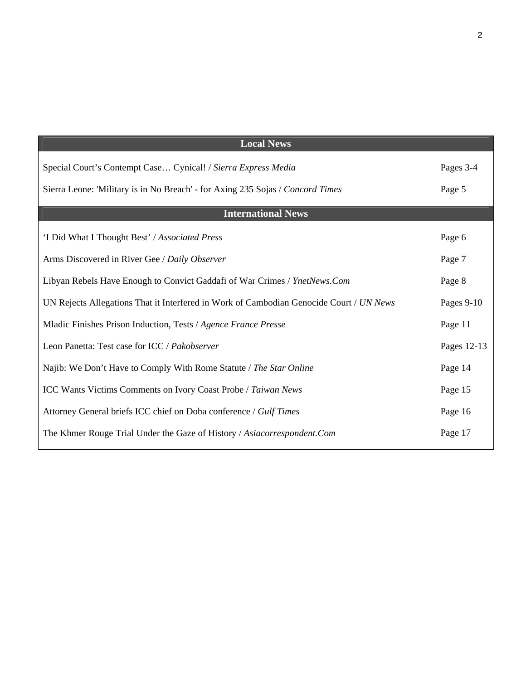| <b>Local News</b>                                                                       |             |
|-----------------------------------------------------------------------------------------|-------------|
| Special Court's Contempt Case Cynical! / Sierra Express Media                           | Pages 3-4   |
| Sierra Leone: 'Military is in No Breach' - for Axing 235 Sojas / Concord Times          | Page 5      |
| <b>International News</b>                                                               |             |
| 'I Did What I Thought Best' / Associated Press                                          | Page 6      |
| Arms Discovered in River Gee / Daily Observer                                           | Page 7      |
| Libyan Rebels Have Enough to Convict Gaddafi of War Crimes / YnetNews.Com               | Page 8      |
| UN Rejects Allegations That it Interfered in Work of Cambodian Genocide Court / UN News | Pages 9-10  |
| Mladic Finishes Prison Induction, Tests / Agence France Presse                          | Page 11     |
| Leon Panetta: Test case for ICC / Pakobserver                                           | Pages 12-13 |
| Najib: We Don't Have to Comply With Rome Statute / The Star Online                      | Page 14     |
| <b>ICC Wants Victims Comments on Ivory Coast Probe / Taiwan News</b>                    | Page 15     |
| Attorney General briefs ICC chief on Doha conference / Gulf Times                       | Page 16     |
| The Khmer Rouge Trial Under the Gaze of History / Asiacorrespondent.Com                 | Page 17     |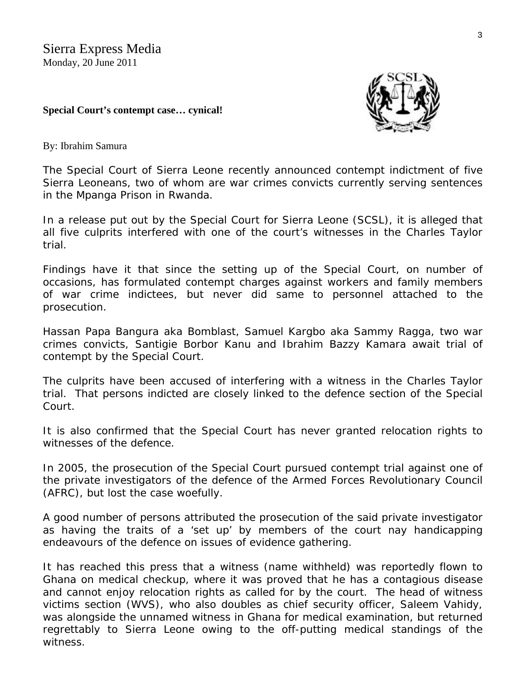### **Special Court's contempt case… cynical!**



By: Ibrahim Samura

The Special Court of Sierra Leone recently announced contempt indictment of five Sierra Leoneans, two of whom are war crimes convicts currently serving sentences in the Mpanga Prison in Rwanda.

In a release put out by the Special Court for Sierra Leone (SCSL), it is alleged that all five culprits interfered with one of the court's witnesses in the Charles Taylor trial.

Findings have it that since the setting up of the Special Court, on number of occasions, has formulated contempt charges against workers and family members of war crime indictees, but never did same to personnel attached to the prosecution.

Hassan Papa Bangura aka Bomblast, Samuel Kargbo aka Sammy Ragga, two war crimes convicts, Santigie Borbor Kanu and Ibrahim Bazzy Kamara await trial of contempt by the Special Court.

The culprits have been accused of interfering with a witness in the Charles Taylor trial. That persons indicted are closely linked to the defence section of the Special Court.

It is also confirmed that the Special Court has never granted relocation rights to witnesses of the defence.

In 2005, the prosecution of the Special Court pursued contempt trial against one of the private investigators of the defence of the Armed Forces Revolutionary Council (AFRC), but lost the case woefully.

A good number of persons attributed the prosecution of the said private investigator as having the traits of a 'set up' by members of the court nay handicapping endeavours of the defence on issues of evidence gathering.

It has reached this press that a witness (name withheld) was reportedly flown to Ghana on medical checkup, where it was proved that he has a contagious disease and cannot enjoy relocation rights as called for by the court. The head of witness victims section (WVS), who also doubles as chief security officer, Saleem Vahidy, was alongside the unnamed witness in Ghana for medical examination, but returned regrettably to Sierra Leone owing to the off-putting medical standings of the witness.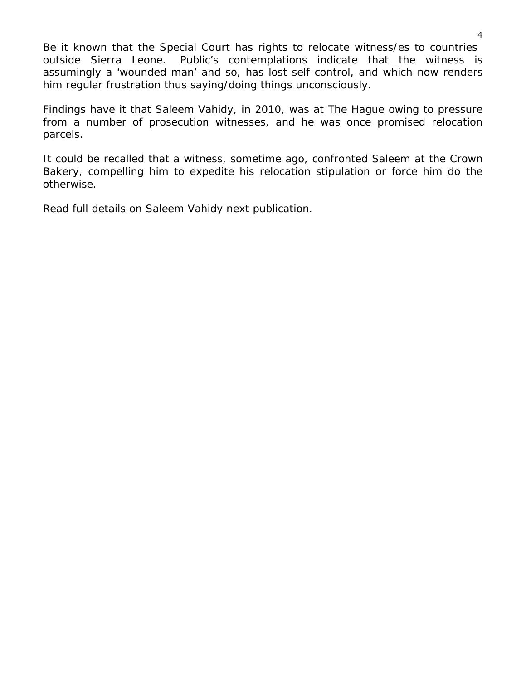Be it known that the Special Court has rights to relocate witness/es to countries outside Sierra Leone. Public's contemplations indicate that the witness is assumingly a 'wounded man' and so, has lost self control, and which now renders him regular frustration thus saying/doing things unconsciously.

Findings have it that Saleem Vahidy, in 2010, was at The Hague owing to pressure from a number of prosecution witnesses, and he was once promised relocation parcels.

It could be recalled that a witness, sometime ago, confronted Saleem at the Crown Bakery, compelling him to expedite his relocation stipulation or force him do the otherwise.

Read full details on Saleem Vahidy next publication.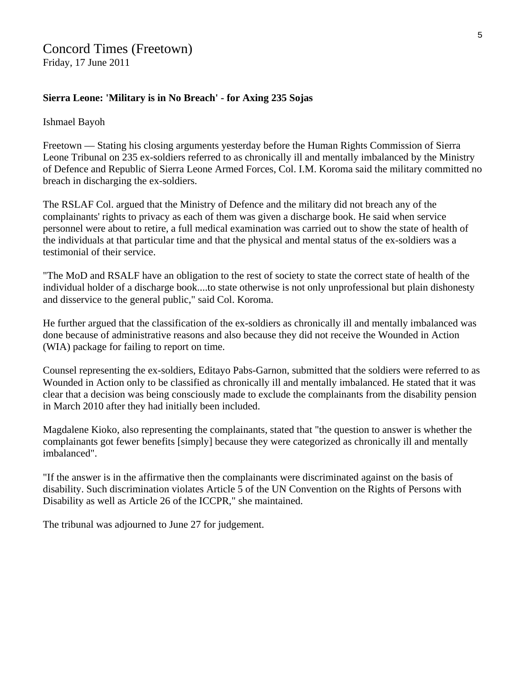### **Sierra Leone: 'Military is in No Breach' - for Axing 235 Sojas**

### Ishmael Bayoh

Freetown — Stating his closing arguments yesterday before the Human Rights Commission of Sierra Leone Tribunal on 235 ex-soldiers referred to as chronically ill and mentally imbalanced by the Ministry of Defence and Republic of Sierra Leone Armed Forces, Col. I.M. Koroma said the military committed no breach in discharging the ex-soldiers.

The RSLAF Col. argued that the Ministry of Defence and the military did not breach any of the complainants' rights to privacy as each of them was given a discharge book. He said when service personnel were about to retire, a full medical examination was carried out to show the state of health of the individuals at that particular time and that the physical and mental status of the ex-soldiers was a testimonial of their service.

"The MoD and RSALF have an obligation to the rest of society to state the correct state of health of the individual holder of a discharge book....to state otherwise is not only unprofessional but plain dishonesty and disservice to the general public," said Col. Koroma.

He further argued that the classification of the ex-soldiers as chronically ill and mentally imbalanced was done because of administrative reasons and also because they did not receive the Wounded in Action (WIA) package for failing to report on time.

Counsel representing the ex-soldiers, Editayo Pabs-Garnon, submitted that the soldiers were referred to as Wounded in Action only to be classified as chronically ill and mentally imbalanced. He stated that it was clear that a decision was being consciously made to exclude the complainants from the disability pension in March 2010 after they had initially been included.

Magdalene Kioko, also representing the complainants, stated that "the question to answer is whether the complainants got fewer benefits [simply] because they were categorized as chronically ill and mentally imbalanced".

"If the answer is in the affirmative then the complainants were discriminated against on the basis of disability. Such discrimination violates Article 5 of the UN Convention on the Rights of Persons with Disability as well as Article 26 of the ICCPR," she maintained.

The tribunal was adjourned to June 27 for judgement.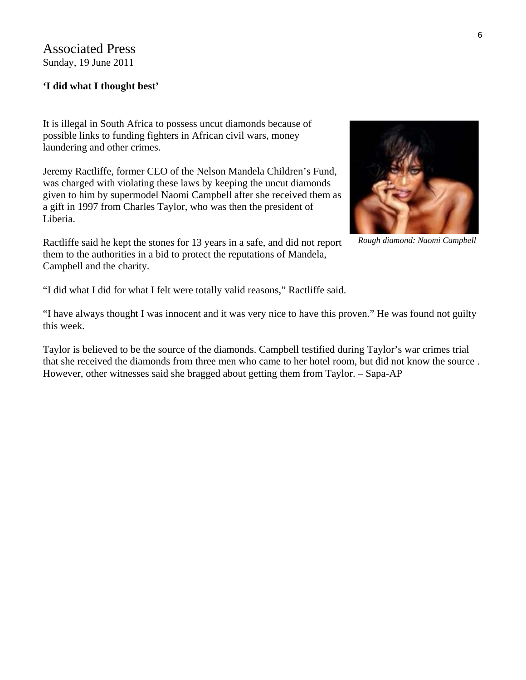Associated Press Sunday, 19 June 2011

### **'I did what I thought best'**

It is illegal in South Africa to possess uncut diamonds because of possible links to funding fighters in African civil wars, money laundering and other crimes.

Jeremy Ractliffe, former CEO of the Nelson Mandela Children's Fund, was charged with violating these laws by keeping the uncut diamonds given to him by supermodel Naomi Campbell after she received them as a gift in 1997 from Charles Taylor, who was then the president of Liberia.

Ractliffe said he kept the stones for 13 years in a safe, and did not report them to the authorities in a bid to protect the reputations of Mandela, Campbell and the charity.



*Rough diamond: Naomi Campbell*

"I did what I did for what I felt were totally valid reasons," Ractliffe said.

"I have always thought I was innocent and it was very nice to have this proven." He was found not guilty this week.

Taylor is believed to be the source of the diamonds. Campbell testified during Taylor's war crimes trial that she received the diamonds from three men who came to her hotel room, but did not know the source . However, other witnesses said she bragged about getting them from Taylor. – Sapa-AP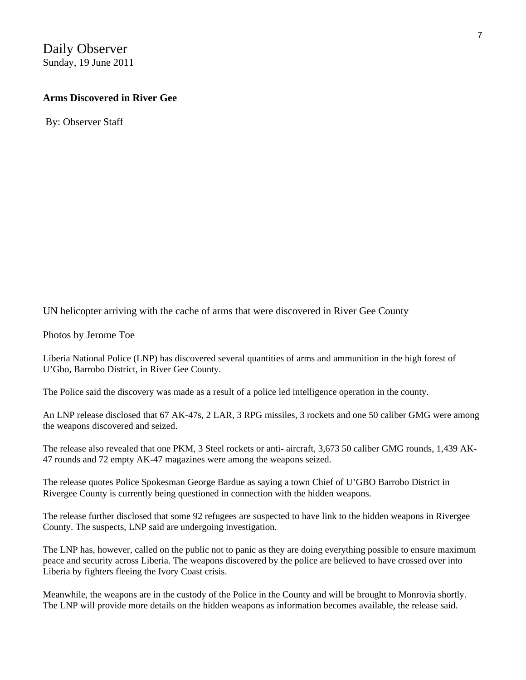## Daily Observer

Sunday, 19 June 2011

### **Arms Discovered in River Gee**

By: Observer Staff

[UN helicopter arriving with the cache of arms that were discovered in River Gee C](http://liberianobserver.com/content/arms-and-ammunations-discovered-river-geejpg)ounty

Photos by Jerome Toe

Liberia National Police (LNP) has discovered several quantities of arms and ammunition in the high forest of U'Gbo, Barrobo District, in River Gee County.

The Police said the discovery was made as a result of a police led intelligence operation in the county.

An LNP release disclosed that 67 AK-47s, 2 LAR, 3 RPG missiles, 3 rockets and one 50 caliber GMG were among the weapons discovered and seized.

The release also revealed that one PKM, 3 Steel rockets or anti- aircraft, 3,673 50 caliber GMG rounds, 1,439 AK-47 rounds and 72 empty AK-47 magazines were among the weapons seized.

The release quotes Police Spokesman George Bardue as saying a town Chief of U'GBO Barrobo District in Rivergee County is currently being questioned in connection with the hidden weapons.

The release further disclosed that some 92 refugees are suspected to have link to the hidden weapons in Rivergee County. The suspects, LNP said are undergoing investigation.

The LNP has, however, called on the public not to panic as they are doing everything possible to ensure maximum peace and security across Liberia. The weapons discovered by the police are believed to have crossed over into Liberia by fighters fleeing the Ivory Coast crisis.

Meanwhile, the weapons are in the custody of the Police in the County and will be brought to Monrovia shortly. The LNP will provide more details on the hidden weapons as information becomes available, the release said.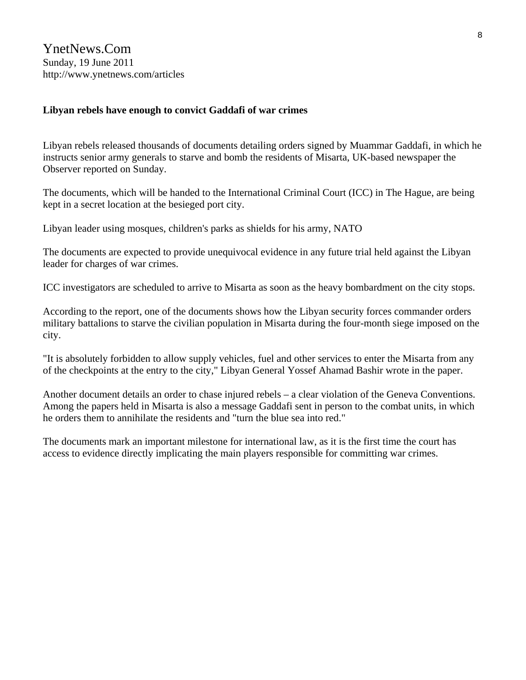YnetNews.Com Sunday, 19 June 2011 http://www.ynetnews.com/articles

### **Libyan rebels have enough to convict Gaddafi of war crimes**

Libyan rebels released thousands of documents detailing orders signed by Muammar Gaddafi, in which he instructs senior army generals to starve and bomb the residents of Misarta, UK-based newspaper the Observer reported on Sunday.

The documents, which will be handed to the International Criminal Court (ICC) in The Hague, are being kept in a secret location at the besieged port city.

Libyan leader using mosques, children's parks as shields for his army, NATO

The documents are expected to provide unequivocal evidence in any future trial held against the Libyan leader for charges of war crimes.

ICC investigators are scheduled to arrive to Misarta as soon as the heavy bombardment on the city stops.

According to the report, one of the documents shows how the Libyan security forces commander orders military battalions to starve the civilian population in Misarta during the four-month siege imposed on the city.

"It is absolutely forbidden to allow supply vehicles, fuel and other services to enter the Misarta from any of the checkpoints at the entry to the city," Libyan General Yossef Ahamad Bashir wrote in the paper.

Another document details an order to chase injured rebels – a clear violation of the Geneva Conventions. Among the papers held in Misarta is also a message Gaddafi sent in person to the combat units, in which he orders them to annihilate the residents and "turn the blue sea into red."

The documents mark an important milestone for international law, as it is the first time the court has access to evidence directly implicating the main players responsible for committing war crimes.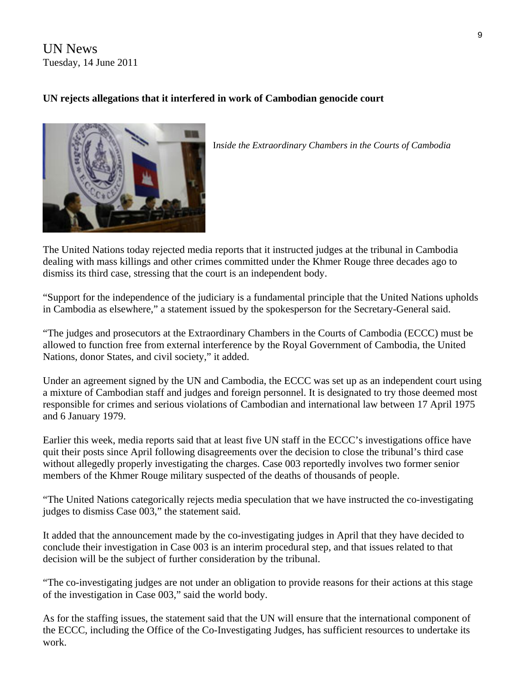UN News Tuesday, 14 June 2011

### **UN rejects allegations that it interfered in work of Cambodian genocide court**



I*nside the Extraordinary Chambers in the Courts of Cambodia* 

The United Nations today rejected media reports that it instructed judges at the tribunal in Cambodia dealing with mass killings and other crimes committed under the Khmer Rouge three decades ago to dismiss its third case, stressing that the court is an independent body.

"Support for the independence of the judiciary is a fundamental principle that the United Nations upholds in Cambodia as elsewhere," a statement issued by the spokesperson for the Secretary-General said.

"The judges and prosecutors at the Extraordinary Chambers in the Courts of Cambodia ([ECCC](http://www.eccc.gov.kh/en)) must be allowed to function free from external interference by the Royal Government of Cambodia, the United Nations, donor States, and civil society," it added.

Under an agreement signed by the UN and Cambodia, the ECCC was set up as an independent court using a mixture of Cambodian staff and judges and foreign personnel. It is designated to try those deemed most responsible for crimes and serious violations of Cambodian and international law between 17 April 1975 and 6 January 1979.

Earlier this week, media reports said that at least five UN staff in the ECCC's investigations office have quit their posts since April following disagreements over the decision to close the tribunal's third case without allegedly properly investigating the charges. Case 003 reportedly involves two former senior members of the Khmer Rouge military suspected of the deaths of thousands of people.

"The United Nations categorically rejects media speculation that we have instructed the co-investigating judges to dismiss Case 003," the statement said.

It added that the announcement made by the co-investigating judges in April that they have decided to conclude their investigation in Case 003 is an interim procedural step, and that issues related to that decision will be the subject of further consideration by the tribunal.

"The co-investigating judges are not under an obligation to provide reasons for their actions at this stage of the investigation in Case 003," said the world body.

As for the staffing issues, the statement said that the UN will ensure that the international component of the ECCC, including the Office of the Co-Investigating Judges, has sufficient resources to undertake its work.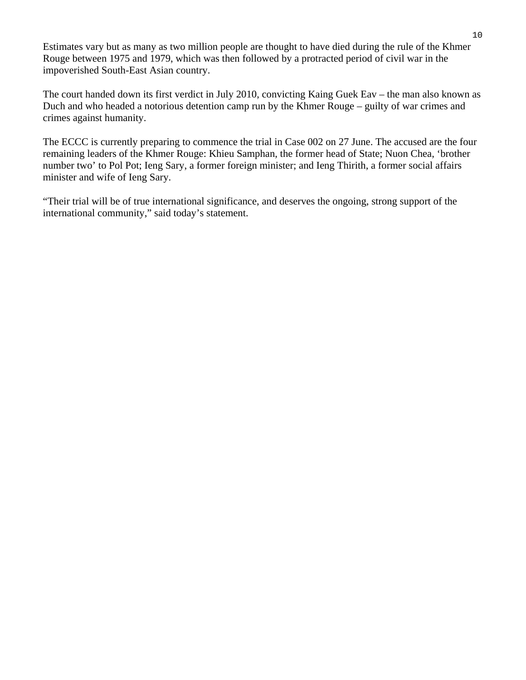Estimates vary but as many as two million people are thought to have died during the rule of the Khmer Rouge between 1975 and 1979, which was then followed by a protracted period of civil war in the impoverished South-East Asian country.

The court handed down its first verdict in July 2010, convicting Kaing Guek Eav – the man also known as Duch and who headed a notorious detention camp run by the Khmer Rouge – guilty of war crimes and crimes against humanity.

The ECCC is currently preparing to commence the trial in Case 002 on 27 June. The accused are the four remaining leaders of the Khmer Rouge: Khieu Samphan, the former head of State; Nuon Chea, 'brother number two' to Pol Pot; Ieng Sary, a former foreign minister; and Ieng Thirith, a former social affairs minister and wife of Ieng Sary.

"Their trial will be of true international significance, and deserves the ongoing, strong support of the international community," said today's statement.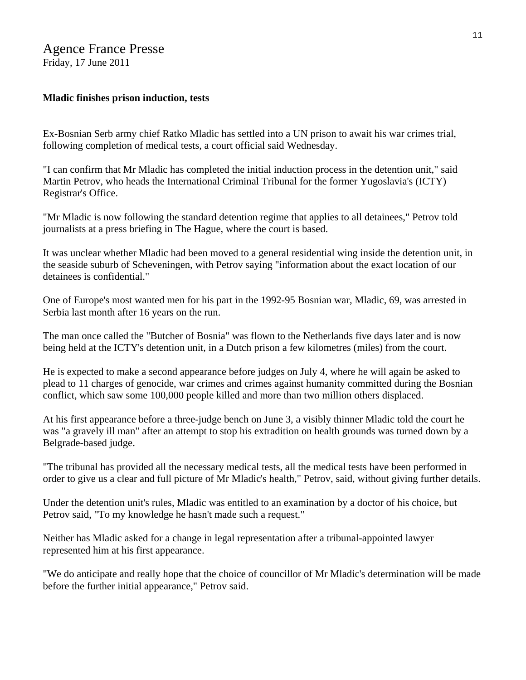### Agence France Presse

Friday, 17 June 2011

### **Mladic finishes prison induction, tests**

Ex-Bosnian Serb army chief Ratko Mladic has settled into a UN prison to await his war crimes trial, following completion of medical tests, a court official said Wednesday.

"I can confirm that Mr Mladic has completed the initial induction process in the detention unit," said Martin Petrov, who heads the International Criminal Tribunal for the former Yugoslavia's (ICTY) Registrar's Office.

"Mr Mladic is now following the standard detention regime that applies to all detainees," Petrov told journalists at a press briefing in The Hague, where the court is based.

It was unclear whether Mladic had been moved to a general residential wing inside the detention unit, in the seaside suburb of Scheveningen, with Petrov saying "information about the exact location of our detainees is confidential."

One of Europe's most wanted men for his part in the 1992-95 Bosnian war, Mladic, 69, was arrested in Serbia last month after 16 years on the run.

The man once called the "Butcher of Bosnia" was flown to the Netherlands five days later and is now being held at the ICTY's detention unit, in a Dutch prison a few kilometres (miles) from the court.

He is expected to make a second appearance before judges on July 4, where he will again be asked to plead to 11 charges of genocide, war crimes and crimes against humanity committed during the Bosnian conflict, which saw some 100,000 people killed and more than two million others displaced.

At his first appearance before a three-judge bench on June 3, a visibly thinner Mladic told the court he was "a gravely ill man" after an attempt to stop his extradition on health grounds was turned down by a Belgrade-based judge.

"The tribunal has provided all the necessary medical tests, all the medical tests have been performed in order to give us a clear and full picture of Mr Mladic's health," Petrov, said, without giving further details.

Under the detention unit's rules, Mladic was entitled to an examination by a doctor of his choice, but Petrov said, "To my knowledge he hasn't made such a request."

Neither has Mladic asked for a change in legal representation after a tribunal-appointed lawyer represented him at his first appearance.

"We do anticipate and really hope that the choice of councillor of Mr Mladic's determination will be made before the further initial appearance," Petrov said.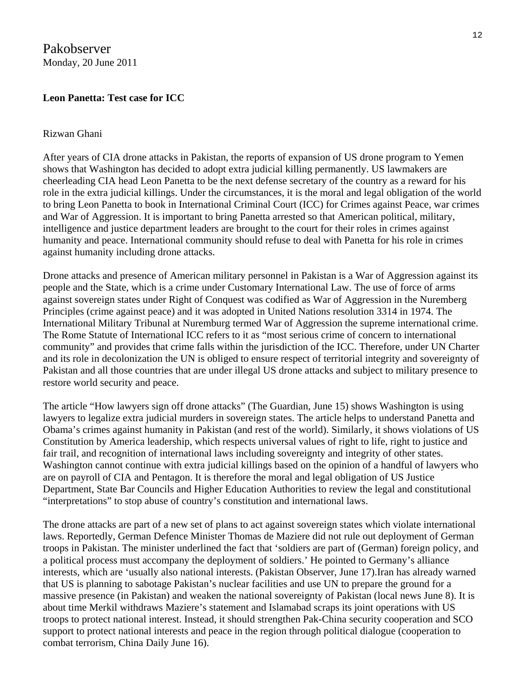Pakobserver Monday, 20 June 2011

### **Leon Panetta: Test case for ICC**

#### Rizwan Ghani

After years of CIA drone attacks in Pakistan, the reports of expansion of US drone program to Yemen shows that Washington has decided to adopt extra judicial killing permanently. US lawmakers are cheerleading CIA head Leon Panetta to be the next defense secretary of the country as a reward for his role in the extra judicial killings. Under the circumstances, it is the moral and legal obligation of the world to bring Leon Panetta to book in International Criminal Court (ICC) for Crimes against Peace, war crimes and War of Aggression. It is important to bring Panetta arrested so that American political, military, intelligence and justice department leaders are brought to the court for their roles in crimes against humanity and peace. International community should refuse to deal with Panetta for his role in crimes against humanity including drone attacks.

Drone attacks and presence of American military personnel in Pakistan is a War of Aggression against its people and the State, which is a crime under Customary International Law. The use of force of arms against sovereign states under Right of Conquest was codified as War of Aggression in the Nuremberg Principles (crime against peace) and it was adopted in United Nations resolution 3314 in 1974. The International Military Tribunal at Nuremburg termed War of Aggression the supreme international crime. The Rome Statute of International ICC refers to it as "most serious crime of concern to international community" and provides that crime falls within the jurisdiction of the ICC. Therefore, under UN Charter and its role in decolonization the UN is obliged to ensure respect of territorial integrity and sovereignty of Pakistan and all those countries that are under illegal US drone attacks and subject to military presence to restore world security and peace.

The article "How lawyers sign off drone attacks" (The Guardian, June 15) shows Washington is using lawyers to legalize extra judicial murders in sovereign states. The article helps to understand Panetta and Obama's crimes against humanity in Pakistan (and rest of the world). Similarly, it shows violations of US Constitution by America leadership, which respects universal values of right to life, right to justice and fair trail, and recognition of international laws including sovereignty and integrity of other states. Washington cannot continue with extra judicial killings based on the opinion of a handful of lawyers who are on payroll of CIA and Pentagon. It is therefore the moral and legal obligation of US Justice Department, State Bar Councils and Higher Education Authorities to review the legal and constitutional "interpretations" to stop abuse of country's constitution and international laws.

The drone attacks are part of a new set of plans to act against sovereign states which violate international laws. Reportedly, German Defence Minister Thomas de Maziere did not rule out deployment of German troops in Pakistan. The minister underlined the fact that 'soldiers are part of (German) foreign policy, and a political process must accompany the deployment of soldiers.' He pointed to Germany's alliance interests, which are 'usually also national interests. (Pakistan Observer, June 17).Iran has already warned that US is planning to sabotage Pakistan's nuclear facilities and use UN to prepare the ground for a massive presence (in Pakistan) and weaken the national sovereignty of Pakistan (local news June 8). It is about time Merkil withdraws Maziere's statement and Islamabad scraps its joint operations with US troops to protect national interest. Instead, it should strengthen Pak-China security cooperation and SCO support to protect national interests and peace in the region through political dialogue (cooperation to combat terrorism, China Daily June 16).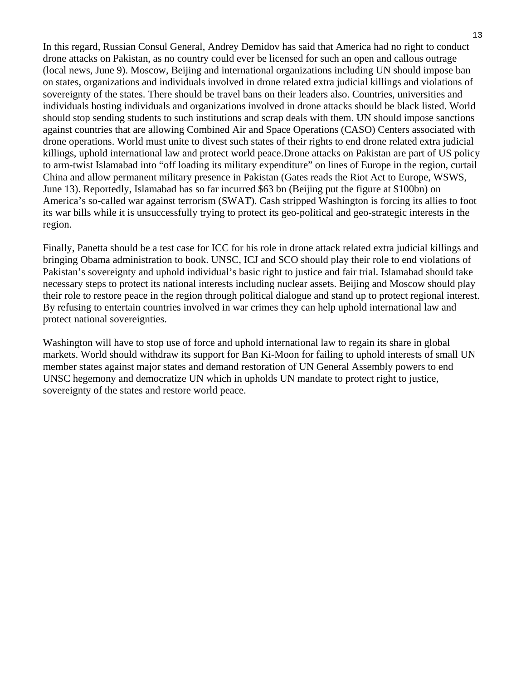In this regard, Russian Consul General, Andrey Demidov has said that America had no right to conduct drone attacks on Pakistan, as no country could ever be licensed for such an open and callous outrage (local news, June 9). Moscow, Beijing and international organizations including UN should impose ban on states, organizations and individuals involved in drone related extra judicial killings and violations of sovereignty of the states. There should be travel bans on their leaders also. Countries, universities and individuals hosting individuals and organizations involved in drone attacks should be black listed. World should stop sending students to such institutions and scrap deals with them. UN should impose sanctions against countries that are allowing Combined Air and Space Operations (CASO) Centers associated with drone operations. World must unite to divest such states of their rights to end drone related extra judicial killings, uphold international law and protect world peace.Drone attacks on Pakistan are part of US policy to arm-twist Islamabad into "off loading its military expenditure" on lines of Europe in the region, curtail China and allow permanent military presence in Pakistan (Gates reads the Riot Act to Europe, WSWS, June 13). Reportedly, Islamabad has so far incurred \$63 bn (Beijing put the figure at \$100bn) on America's so-called war against terrorism (SWAT). Cash stripped Washington is forcing its allies to foot its war bills while it is unsuccessfully trying to protect its geo-political and geo-strategic interests in the region.

Finally, Panetta should be a test case for ICC for his role in drone attack related extra judicial killings and bringing Obama administration to book. UNSC, ICJ and SCO should play their role to end violations of Pakistan's sovereignty and uphold individual's basic right to justice and fair trial. Islamabad should take necessary steps to protect its national interests including nuclear assets. Beijing and Moscow should play their role to restore peace in the region through political dialogue and stand up to protect regional interest. By refusing to entertain countries involved in war crimes they can help uphold international law and protect national sovereignties.

Washington will have to stop use of force and uphold international law to regain its share in global markets. World should withdraw its support for Ban Ki-Moon for failing to uphold interests of small UN member states against major states and demand restoration of UN General Assembly powers to end UNSC hegemony and democratize UN which in upholds UN mandate to protect right to justice, sovereignty of the states and restore world peace.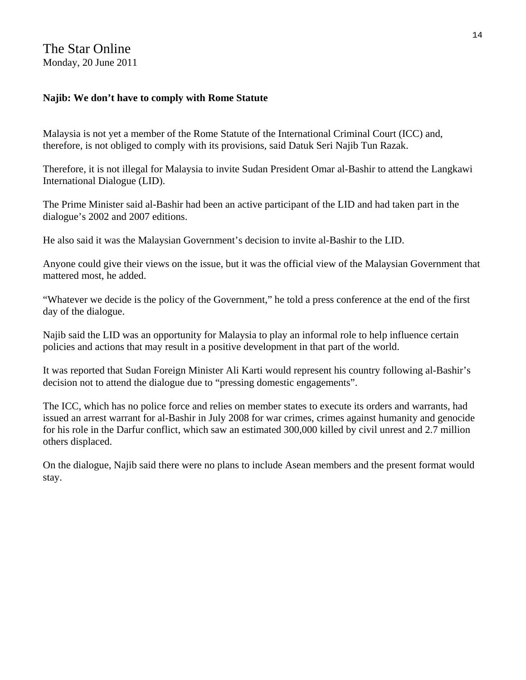### **Najib: We don't have to comply with Rome Statute**

Malaysia is not yet a member of the Rome Statute of the International Criminal Court (ICC) and, therefore, is not obliged to comply with its provisions, said Datuk Seri Najib Tun Razak.

Therefore, it is not illegal for Malaysia to invite Sudan President Omar al-Bashir to attend the Langkawi International Dialogue (LID).

The Prime Minister said al-Bashir had been an active participant of the LID and had taken part in the dialogue's 2002 and 2007 editions.

He also said it was the Malaysian Government's decision to invite al-Bashir to the LID.

Anyone could give their views on the issue, but it was the official view of the Malaysian Government that mattered most, he added.

"Whatever we decide is the policy of the Government," he told a press conference at the end of the first day of the dialogue.

Najib said the LID was an opportunity for Malaysia to play an informal role to help influence certain policies and actions that may result in a positive development in that part of the world.

It was reported that Sudan Foreign Minister Ali Karti would represent his country following al-Bashir's decision not to attend the dialogue due to "pressing domestic engagements".

The ICC, which has no police force and relies on member states to execute its orders and warrants, had issued an arrest warrant for al-Bashir in July 2008 for war crimes, crimes against humanity and genocide for his role in the Darfur conflict, which saw an estimated 300,000 killed by civil unrest and 2.7 million others displaced.

On the dialogue, Najib said there were no plans to include Asean members and the present format would stay.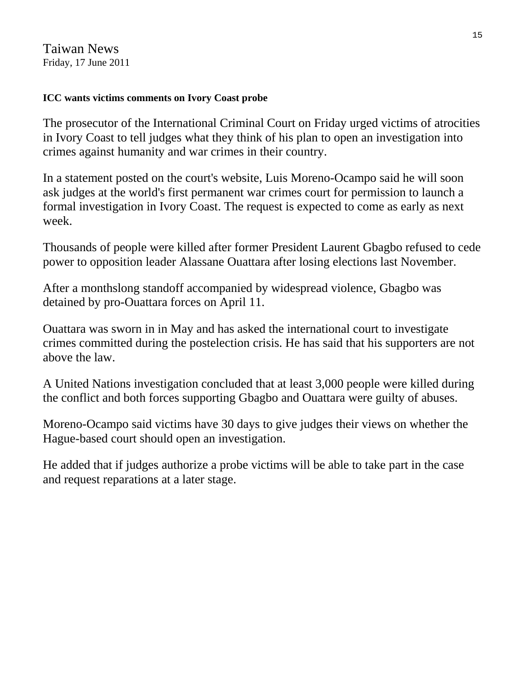Taiwan News Friday, 17 June 2011

### **ICC wants victims comments on Ivory Coast probe**

The prosecutor of the International Criminal Court on Friday urged victims of atrocities in Ivory Coast to tell judges what they think of his plan to open an investigation into crimes against humanity and war crimes in their country.

In a statement posted on the court's website, Luis Moreno-Ocampo said he will soon ask judges at the world's first permanent war crimes court for permission to launch a formal investigation in Ivory Coast. The request is expected to come as early as next week.

Thousands of people were killed after former President Laurent Gbagbo refused to cede power to opposition leader Alassane Ouattara after losing elections last November.

After a monthslong standoff accompanied by widespread violence, Gbagbo was detained by pro-Ouattara forces on April 11.

Ouattara was sworn in in May and has asked the international court to investigate crimes committed during the postelection crisis. He has said that his supporters are not above the law.

A United Nations investigation concluded that at least 3,000 people were killed during the conflict and both forces supporting Gbagbo and Ouattara were guilty of abuses.

Moreno-Ocampo said victims have 30 days to give judges their views on whether the Hague-based court should open an investigation.

He added that if judges authorize a probe victims will be able to take part in the case and request reparations at a later stage.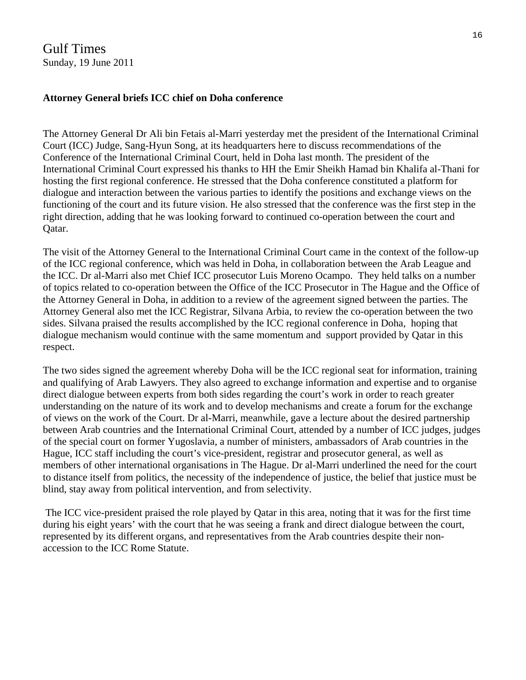Gulf Times Sunday, 19 June 2011

#### **Attorney General briefs ICC chief on Doha conference**

The Attorney General Dr Ali bin Fetais al-Marri yesterday met the president of the International Criminal Court (ICC) Judge, Sang-Hyun Song, at its headquarters here to discuss recommendations of the Conference of the International Criminal Court, held in Doha last month. The president of the International Criminal Court expressed his thanks to HH the Emir Sheikh Hamad bin Khalifa al-Thani for hosting the first regional conference. He stressed that the Doha conference constituted a platform for dialogue and interaction between the various parties to identify the positions and exchange views on the functioning of the court and its future vision. He also stressed that the conference was the first step in the right direction, adding that he was looking forward to continued co-operation between the court and Qatar.

The visit of the Attorney General to the International Criminal Court came in the context of the follow-up of the ICC regional conference, which was held in Doha, in collaboration between the Arab League and the ICC. Dr al-Marri also met Chief ICC prosecutor Luis Moreno Ocampo. They held talks on a number of topics related to co-operation between the Office of the ICC Prosecutor in The Hague and the Office of the Attorney General in Doha, in addition to a review of the agreement signed between the parties. The Attorney General also met the ICC Registrar, Silvana Arbia, to review the co-operation between the two sides. Silvana praised the results accomplished by the ICC regional conference in Doha, hoping that dialogue mechanism would continue with the same momentum and support provided by Qatar in this respect.

The two sides signed the agreement whereby Doha will be the ICC regional seat for information, training and qualifying of Arab Lawyers. They also agreed to exchange information and expertise and to organise direct dialogue between experts from both sides regarding the court's work in order to reach greater understanding on the nature of its work and to develop mechanisms and create a forum for the exchange of views on the work of the Court. Dr al-Marri, meanwhile, gave a lecture about the desired partnership between Arab countries and the International Criminal Court, attended by a number of ICC judges, judges of the special court on former Yugoslavia, a number of ministers, ambassadors of Arab countries in the Hague, ICC staff including the court's vice-president, registrar and prosecutor general, as well as members of other international organisations in The Hague. Dr al-Marri underlined the need for the court to distance itself from politics, the necessity of the independence of justice, the belief that justice must be blind, stay away from political intervention, and from selectivity.

 The ICC vice-president praised the role played by Qatar in this area, noting that it was for the first time during his eight years' with the court that he was seeing a frank and direct dialogue between the court, represented by its different organs, and representatives from the Arab countries despite their nonaccession to the ICC Rome Statute.